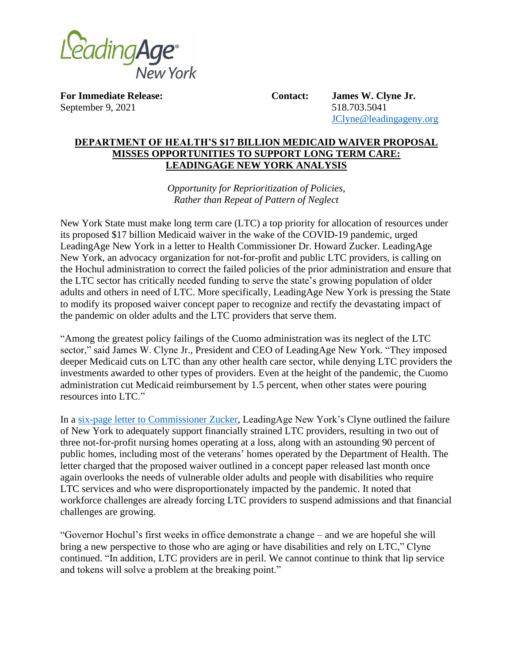

**For Immediate Release: Contact: James W. Clyne Jr.** September 9, 2021 518.703.5041

[JClyne@leadingageny.org](mailto:JClyne@leadingageny.org)

## **DEPARTMENT OF HEALTH'S \$17 BILLION MEDICAID WAIVER PROPOSAL MISSES OPPORTUNITIES TO SUPPORT LONG TERM CARE: LEADINGAGE NEW YORK ANALYSIS**

*Opportunity for Reprioritization of Policies, Rather than Repeat of Pattern of Neglect* 

New York State must make long term care (LTC) a top priority for allocation of resources under its proposed \$17 billion Medicaid waiver in the wake of the COVID-19 pandemic, urged LeadingAge New York in a letter to Health Commissioner Dr. Howard Zucker. LeadingAge New York, an advocacy organization for not-for-profit and public LTC providers, is calling on the Hochul administration to correct the failed policies of the prior administration and ensure that the LTC sector has critically needed funding to serve the state's growing population of older adults and others in need of LTC. More specifically, LeadingAge New York is pressing the State to modify its proposed waiver concept paper to recognize and rectify the devastating impact of the pandemic on older adults and the LTC providers that serve them.

"Among the greatest policy failings of the Cuomo administration was its neglect of the LTC sector," said James W. Clyne Jr., President and CEO of LeadingAge New York. "They imposed deeper Medicaid cuts on LTC than any other health care sector, while denying LTC providers the investments awarded to other types of providers. Even at the height of the pandemic, the Cuomo administration cut Medicaid reimbursement by 1.5 percent, when other states were pouring resources into LTC."

In a [six-page letter to Commissioner Zucker,](http://www.leadingageny.org/?LinkServID=F5DDA366-C950-D234-266FBFD828F124AA) LeadingAge New York's Clyne outlined the failure of New York to adequately support financially strained LTC providers, resulting in two out of three not-for-profit nursing homes operating at a loss, along with an astounding 90 percent of public homes, including most of the veterans' homes operated by the Department of Health. The letter charged that the proposed waiver outlined in a concept paper released last month once again overlooks the needs of vulnerable older adults and people with disabilities who require LTC services and who were disproportionately impacted by the pandemic. It noted that workforce challenges are already forcing LTC providers to suspend admissions and that financial challenges are growing.

"Governor Hochul's first weeks in office demonstrate a change – and we are hopeful she will bring a new perspective to those who are aging or have disabilities and rely on LTC," Clyne continued. "In addition, LTC providers are in peril. We cannot continue to think that lip service and tokens will solve a problem at the breaking point."